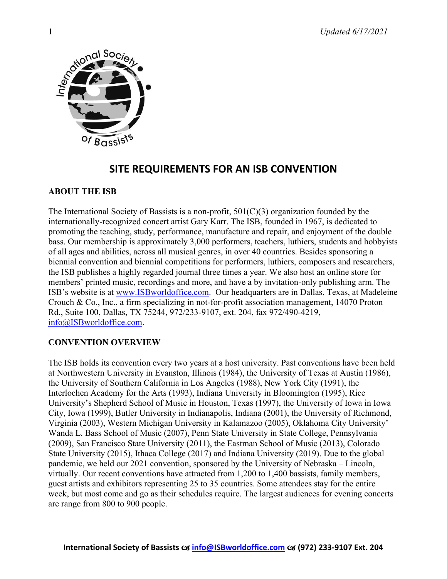

# **SITE REQUIREMENTS FOR AN ISB CONVENTION**

# **ABOUT THE ISB**

The International Society of Bassists is a non-profit, 501(C)(3) organization founded by the internationally-recognized concert artist Gary Karr. The ISB, founded in 1967, is dedicated to promoting the teaching, study, performance, manufacture and repair, and enjoyment of the double bass. Our membership is approximately 3,000 performers, teachers, luthiers, students and hobbyists of all ages and abilities, across all musical genres, in over 40 countries. Besides sponsoring a biennial convention and biennial competitions for performers, luthiers, composers and researchers, the ISB publishes a highly regarded journal three times a year. We also host an online store for members' printed music, recordings and more, and have a by invitation-only publishing arm. The ISB's website is at [www.ISBworldoffice.com.](http://www.isbworldoffice.com/) Our headquarters are in Dallas, Texas, at Madeleine Crouch & Co., Inc., a firm specializing in not-for-profit association management, 14070 Proton Rd., Suite 100, Dallas, TX 75244, 972/233-9107, ext. 204, fax 972/490-4219, [info@ISBworldoffice.com.](mailto:info@ISBworldoffice.com)

# **CONVENTION OVERVIEW**

The ISB holds its convention every two years at a host university. Past conventions have been held at Northwestern University in Evanston, Illinois (1984), the University of Texas at Austin (1986), the University of Southern California in Los Angeles (1988), New York City (1991), the Interlochen Academy for the Arts (1993), Indiana University in Bloomington (1995), Rice University's Shepherd School of Music in Houston, Texas (1997), the University of Iowa in Iowa City, Iowa (1999), Butler University in Indianapolis, Indiana (2001), the University of Richmond, Virginia (2003), Western Michigan University in Kalamazoo (2005), Oklahoma City University' Wanda L. Bass School of Music (2007), Penn State University in State College, Pennsylvania (2009), San Francisco State University (2011), the Eastman School of Music (2013), Colorado State University (2015), Ithaca College (2017) and Indiana University (2019). Due to the global pandemic, we held our 2021 convention, sponsored by the University of Nebraska – Lincoln, virtually. Our recent conventions have attracted from 1,200 to 1,400 bassists, family members, guest artists and exhibitors representing 25 to 35 countries. Some attendees stay for the entire week, but most come and go as their schedules require. The largest audiences for evening concerts are range from 800 to 900 people.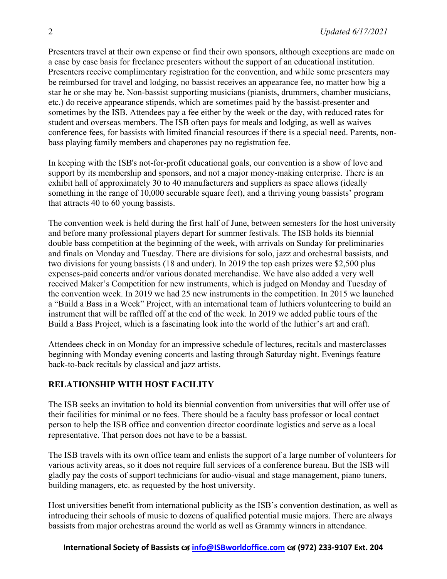Presenters travel at their own expense or find their own sponsors, although exceptions are made on a case by case basis for freelance presenters without the support of an educational institution. Presenters receive complimentary registration for the convention, and while some presenters may be reimbursed for travel and lodging, no bassist receives an appearance fee, no matter how big a star he or she may be. Non-bassist supporting musicians (pianists, drummers, chamber musicians, etc.) do receive appearance stipends, which are sometimes paid by the bassist-presenter and sometimes by the ISB. Attendees pay a fee either by the week or the day, with reduced rates for student and overseas members. The ISB often pays for meals and lodging, as well as waives conference fees, for bassists with limited financial resources if there is a special need. Parents, nonbass playing family members and chaperones pay no registration fee.

In keeping with the ISB's not-for-profit educational goals, our convention is a show of love and support by its membership and sponsors, and not a major money-making enterprise. There is an exhibit hall of approximately 30 to 40 manufacturers and suppliers as space allows (ideally something in the range of 10,000 securable square feet), and a thriving young bassists' program that attracts 40 to 60 young bassists.

The convention week is held during the first half of June, between semesters for the host university and before many professional players depart for summer festivals. The ISB holds its biennial double bass competition at the beginning of the week, with arrivals on Sunday for preliminaries and finals on Monday and Tuesday. There are divisions for solo, jazz and orchestral bassists, and two divisions for young bassists (18 and under). In 2019 the top cash prizes were \$2,500 plus expenses-paid concerts and/or various donated merchandise. We have also added a very well received Maker's Competition for new instruments, which is judged on Monday and Tuesday of the convention week. In 2019 we had 25 new instruments in the competition. In 2015 we launched a "Build a Bass in a Week" Project, with an international team of luthiers volunteering to build an instrument that will be raffled off at the end of the week. In 2019 we added public tours of the Build a Bass Project, which is a fascinating look into the world of the luthier's art and craft.

Attendees check in on Monday for an impressive schedule of lectures, recitals and masterclasses beginning with Monday evening concerts and lasting through Saturday night. Evenings feature back-to-back recitals by classical and jazz artists.

# **RELATIONSHIP WITH HOST FACILITY**

The ISB seeks an invitation to hold its biennial convention from universities that will offer use of their facilities for minimal or no fees. There should be a faculty bass professor or local contact person to help the ISB office and convention director coordinate logistics and serve as a local representative. That person does not have to be a bassist.

The ISB travels with its own office team and enlists the support of a large number of volunteers for various activity areas, so it does not require full services of a conference bureau. But the ISB will gladly pay the costs of support technicians for audio-visual and stage management, piano tuners, building managers, etc. as requested by the host university.

Host universities benefit from international publicity as the ISB's convention destination, as well as introducing their schools of music to dozens of qualified potential music majors. There are always bassists from major orchestras around the world as well as Grammy winners in attendance.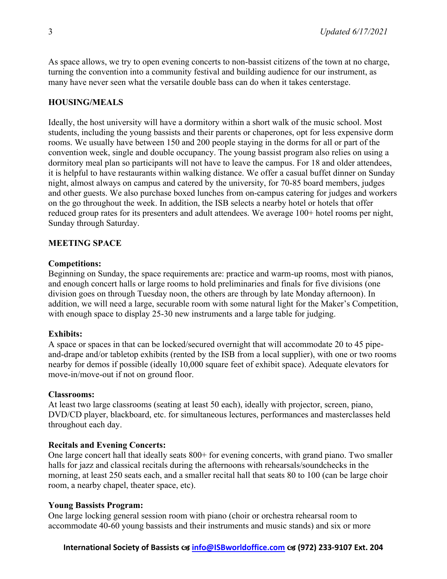As space allows, we try to open evening concerts to non-bassist citizens of the town at no charge, turning the convention into a community festival and building audience for our instrument, as many have never seen what the versatile double bass can do when it takes centerstage.

# **HOUSING/MEALS**

Ideally, the host university will have a dormitory within a short walk of the music school. Most students, including the young bassists and their parents or chaperones, opt for less expensive dorm rooms. We usually have between 150 and 200 people staying in the dorms for all or part of the convention week, single and double occupancy. The young bassist program also relies on using a dormitory meal plan so participants will not have to leave the campus. For 18 and older attendees, it is helpful to have restaurants within walking distance. We offer a casual buffet dinner on Sunday night, almost always on campus and catered by the university, for 70-85 board members, judges and other guests. We also purchase boxed lunches from on-campus catering for judges and workers on the go throughout the week. In addition, the ISB selects a nearby hotel or hotels that offer reduced group rates for its presenters and adult attendees. We average 100+ hotel rooms per night, Sunday through Saturday.

# **MEETING SPACE**

### **Competitions:**

Beginning on Sunday, the space requirements are: practice and warm-up rooms, most with pianos, and enough concert halls or large rooms to hold preliminaries and finals for five divisions (one division goes on through Tuesday noon, the others are through by late Monday afternoon). In addition, we will need a large, securable room with some natural light for the Maker's Competition, with enough space to display 25-30 new instruments and a large table for judging.

### **Exhibits:**

A space or spaces in that can be locked/secured overnight that will accommodate 20 to 45 pipeand-drape and/or tabletop exhibits (rented by the ISB from a local supplier), with one or two rooms nearby for demos if possible (ideally 10,000 square feet of exhibit space). Adequate elevators for move-in/move-out if not on ground floor.

### **Classrooms:**

At least two large classrooms (seating at least 50 each), ideally with projector, screen, piano, DVD/CD player, blackboard, etc. for simultaneous lectures, performances and masterclasses held throughout each day.

### **Recitals and Evening Concerts:**

One large concert hall that ideally seats 800+ for evening concerts, with grand piano. Two smaller halls for jazz and classical recitals during the afternoons with rehearsals/soundchecks in the morning, at least 250 seats each, and a smaller recital hall that seats 80 to 100 (can be large choir room, a nearby chapel, theater space, etc).

### **Young Bassists Program:**

One large locking general session room with piano (choir or orchestra rehearsal room to accommodate 40-60 young bassists and their instruments and music stands) and six or more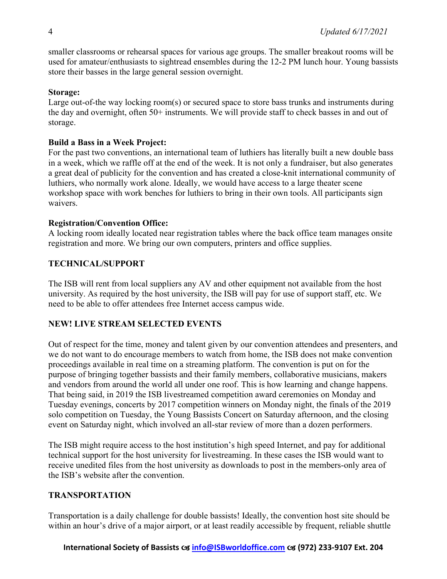smaller classrooms or rehearsal spaces for various age groups. The smaller breakout rooms will be used for amateur/enthusiasts to sightread ensembles during the 12-2 PM lunch hour. Young bassists store their basses in the large general session overnight.

# **Storage:**

Large out-of-the way locking room(s) or secured space to store bass trunks and instruments during the day and overnight, often 50+ instruments. We will provide staff to check basses in and out of storage.

# **Build a Bass in a Week Project:**

For the past two conventions, an international team of luthiers has literally built a new double bass in a week, which we raffle off at the end of the week. It is not only a fundraiser, but also generates a great deal of publicity for the convention and has created a close-knit international community of luthiers, who normally work alone. Ideally, we would have access to a large theater scene workshop space with work benches for luthiers to bring in their own tools. All participants sign waivers.

# **Registration/Convention Office:**

A locking room ideally located near registration tables where the back office team manages onsite registration and more. We bring our own computers, printers and office supplies.

# **TECHNICAL/SUPPORT**

The ISB will rent from local suppliers any AV and other equipment not available from the host university. As required by the host university, the ISB will pay for use of support staff, etc. We need to be able to offer attendees free Internet access campus wide.

# **NEW! LIVE STREAM SELECTED EVENTS**

Out of respect for the time, money and talent given by our convention attendees and presenters, and we do not want to do encourage members to watch from home, the ISB does not make convention proceedings available in real time on a streaming platform. The convention is put on for the purpose of bringing together bassists and their family members, collaborative musicians, makers and vendors from around the world all under one roof. This is how learning and change happens. That being said, in 2019 the ISB livestreamed competition award ceremonies on Monday and Tuesday evenings, concerts by 2017 competition winners on Monday night, the finals of the 2019 solo competition on Tuesday, the Young Bassists Concert on Saturday afternoon, and the closing event on Saturday night, which involved an all-star review of more than a dozen performers.

The ISB might require access to the host institution's high speed Internet, and pay for additional technical support for the host university for livestreaming. In these cases the ISB would want to receive unedited files from the host university as downloads to post in the members-only area of the ISB's website after the convention.

# **TRANSPORTATION**

Transportation is a daily challenge for double bassists! Ideally, the convention host site should be within an hour's drive of a major airport, or at least readily accessible by frequent, reliable shuttle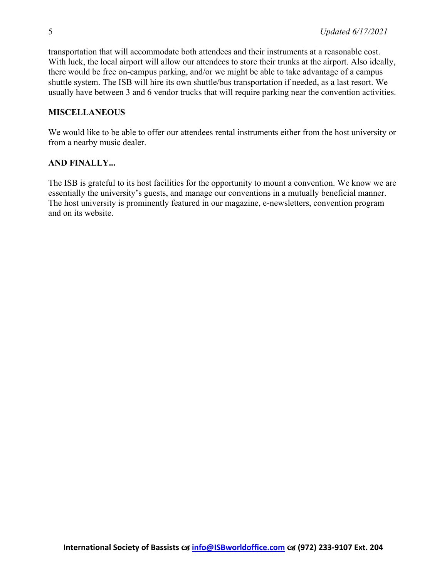transportation that will accommodate both attendees and their instruments at a reasonable cost. With luck, the local airport will allow our attendees to store their trunks at the airport. Also ideally, there would be free on-campus parking, and/or we might be able to take advantage of a campus shuttle system. The ISB will hire its own shuttle/bus transportation if needed, as a last resort. We usually have between 3 and 6 vendor trucks that will require parking near the convention activities.

### **MISCELLANEOUS**

We would like to be able to offer our attendees rental instruments either from the host university or from a nearby music dealer.

### **AND FINALLY...**

The ISB is grateful to its host facilities for the opportunity to mount a convention. We know we are essentially the university's guests, and manage our conventions in a mutually beneficial manner. The host university is prominently featured in our magazine, e-newsletters, convention program and on its website.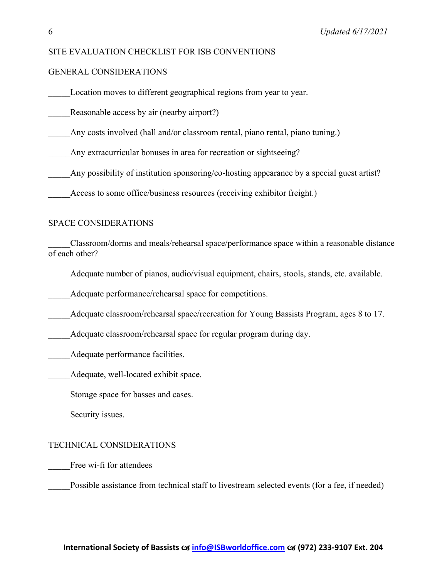#### SITE EVALUATION CHECKLIST FOR ISB CONVENTIONS

#### GENERAL CONSIDERATIONS

Location moves to different geographical regions from year to year.

Reasonable access by air (nearby airport?)

Any costs involved (hall and/or classroom rental, piano rental, piano tuning.)

Any extracurricular bonuses in area for recreation or sightseeing?

Any possibility of institution sponsoring/co-hosting appearance by a special guest artist?

Access to some office/business resources (receiving exhibitor freight.)

#### SPACE CONSIDERATIONS

\_\_\_\_\_Classroom/dorms and meals/rehearsal space/performance space within a reasonable distance of each other?

Adequate number of pianos, audio/visual equipment, chairs, stools, stands, etc. available.

Adequate performance/rehearsal space for competitions.

Adequate classroom/rehearsal space/recreation for Young Bassists Program, ages 8 to 17.

Adequate classroom/rehearsal space for regular program during day.

Adequate performance facilities.

Adequate, well-located exhibit space.

Storage space for basses and cases.

Security issues.

#### TECHNICAL CONSIDERATIONS

Free wi-fi for attendees

Possible assistance from technical staff to livestream selected events (for a fee, if needed)